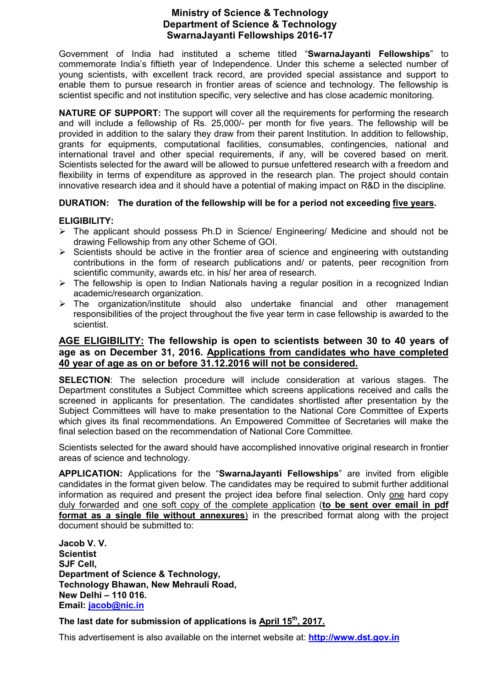# **Ministry of Science & Technology Department of Science & Technology SwarnaJayanti Fellowships 2016-17**

Government of India had instituted a scheme titled "**SwarnaJayanti Fellowships**" to commemorate India's fiftieth year of Independence. Under this scheme a selected number of young scientists, with excellent track record, are provided special assistance and support to enable them to pursue research in frontier areas of science and technology. The fellowship is scientist specific and not institution specific, very selective and has close academic monitoring.

**NATURE OF SUPPORT:** The support will cover all the requirements for performing the research and will include a fellowship of Rs. 25,000/- per month for five years. The fellowship will be provided in addition to the salary they draw from their parent Institution. In addition to fellowship, grants for equipments, computational facilities, consumables, contingencies, national and international travel and other special requirements, if any, will be covered based on merit. Scientists selected for the award will be allowed to pursue unfettered research with a freedom and flexibility in terms of expenditure as approved in the research plan. The project should contain innovative research idea and it should have a potential of making impact on R&D in the discipline*.*

## **DURATION: The duration of the fellowship will be for a period not exceeding five years.**

#### **ELIGIBILITY:**

- $\triangleright$  The applicant should possess Ph.D in Science/ Engineering/ Medicine and should not be drawing Fellowship from any other Scheme of GOI.
- $\triangleright$  Scientists should be active in the frontier area of science and engineering with outstanding contributions in the form of research publications and/ or patents, peer recognition from scientific community, awards etc. in his/ her area of research.
- $\triangleright$  The fellowship is open to Indian Nationals having a regular position in a recognized Indian academic/research organization.
- $\triangleright$  The organization/institute should also undertake financial and other management responsibilities of the project throughout the five year term in case fellowship is awarded to the scientist.

# **AGE ELIGIBILITY: The fellowship is open to scientists between 30 to 40 years of age as on December 31, 2016. Applications from candidates who have completed 40 year of age as on or before 31.12.2016 will not be considered.**

**SELECTION**: The selection procedure will include consideration at various stages. The Department constitutes a Subject Committee which screens applications received and calls the screened in applicants for presentation. The candidates shortlisted after presentation by the Subject Committees will have to make presentation to the National Core Committee of Experts which gives its final recommendations. An Empowered Committee of Secretaries will make the final selection based on the recommendation of National Core Committee.

Scientists selected for the award should have accomplished innovative original research in frontier areas of science and technology.

**APPLICATION:** Applications for the "**SwarnaJayanti Fellowships**" are invited from eligible candidates in the format given below. The candidates may be required to submit further additional information as required and present the project idea before final selection. Only one hard copy duly forwarded and one soft copy of the complete application (**to be sent over email in pdf format as a single file without annexures**) in the prescribed format along with the project document should be submitted to:

**Jacob V. V. Scientist SJF Cell, Department of Science & Technology, Technology Bhawan, New Mehrauli Road, New Delhi – 110 016. Email: jacob@nic.in**

**The last date for submission of applications is April 15th, 2017.** 

This advertisement is also available on the internet website at: **http://www.dst.gov.in**